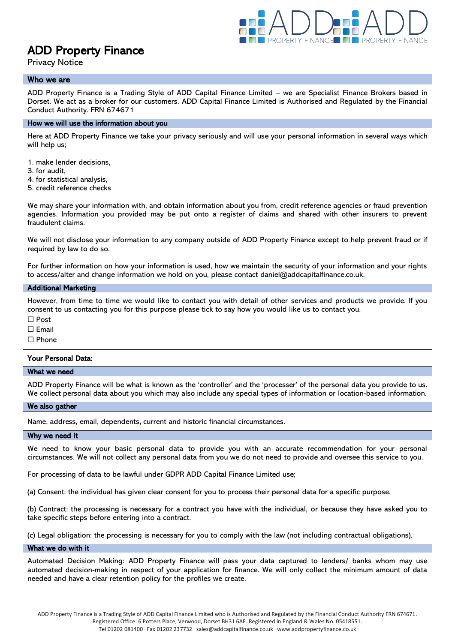

# ADD Property Finance

Privacy Notice

# Who we are

ADD Property Finance is a Trading Style of ADD Capital Finance Limited – we are Specialist Finance Brokers based in Dorset. We act as a broker for our customers. ADD Capital Finance Limited is Authorised and Regulated by the Financial Conduct Authority. FRN 674671

## How we will use the information about you

Here at ADD Property Finance we take your privacy seriously and will use your personal information in several ways which will help us:

1. make lender decisions,

- 3. for audit,
- 4. for statistical analysis,
- 5. credit reference checks

We may share your information with, and obtain information about you from, credit reference agencies or fraud prevention agencies. Information you provided may be put onto a register of claims and shared with other insurers to prevent fraudulent claims.

We will not disclose your information to any company outside of ADD Property Finance except to help prevent fraud or if required by law to do so.

For further information on how your information is used, how we maintain the security of your information and your rights to access/alter and change information we hold on you, please contact daniel@addcapitalfinance.co.uk.

#### Additional Marketing

However, from time to time we would like to contact you with detail of other services and products we provide. If you consent to us contacting you for this purpose please tick to say how you would like us to contact you.

☐ Post

□ Email

☐ Phone

#### Your Personal Data:

## What we need

ADD Property Finance will be what is known as the 'controller' and the 'processer' of the personal data you provide to us. We collect personal data about you which may also include any special types of information or location-based information.

#### We also gather

Name, address, email, dependents, current and historic financial circumstances.

#### Why we need it

We need to know your basic personal data to provide you with an accurate recommendation for your personal circumstances. We will not collect any personal data from you we do not need to provide and oversee this service to you.

For processing of data to be lawful under GDPR ADD Capital Finance Limited use;

(a) Consent: the individual has given clear consent for you to process their personal data for a specific purpose.

(b) Contract: the processing is necessary for a contract you have with the individual, or because they have asked you to take specific steps before entering into a contract.

(c) Legal obligation: the processing is necessary for you to comply with the law (not including contractual obligations).

#### What we do with it

Automated Decision Making: ADD Property Finance will pass your data captured to lenders/ banks whom may use automated decision-making in respect of your application for finance. We will only collect the minimum amount of data needed and have a clear retention policy for the profiles we create.